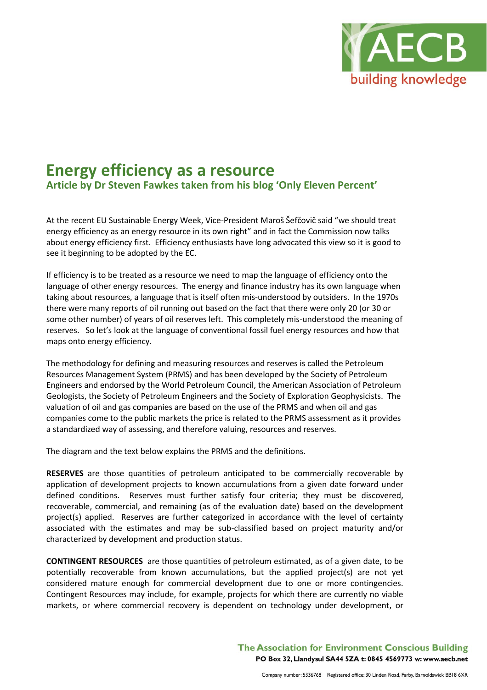

## **Energy efficiency as a resource Article by Dr Steven Fawkes taken from his blog 'Only Eleven Percent'**

At the recent EU Sustainable Energy Week, Vice-President Maroš Šefčovič said "we should treat energy efficiency as an energy resource in its own right" and in fact the Commission now talks about energy efficiency first. Efficiency enthusiasts have long advocated this view so it is good to see it beginning to be adopted by the EC.

If efficiency is to be treated as a resource we need to map the language of efficiency onto the language of other energy resources. The energy and finance industry has its own language when taking about resources, a language that is itself often mis-understood by outsiders. In the 1970s there were many reports of oil running out based on the fact that there were only 20 (or 30 or some other number) of years of oil reserves left. This completely mis-understood the meaning of reserves. So let's look at the language of conventional fossil fuel energy resources and how that maps onto energy efficiency.

The methodology for defining and measuring resources and reserves is called the Petroleum Resources Management System (PRMS) and has been developed by the Society of Petroleum Engineers and endorsed by the World Petroleum Council, the American Association of Petroleum Geologists, the Society of Petroleum Engineers and the Society of Exploration Geophysicists. The valuation of oil and gas companies are based on the use of the PRMS and when oil and gas companies come to the public markets the price is related to the PRMS assessment as it provides a standardized way of assessing, and therefore valuing, resources and reserves.

The diagram and the text below explains the PRMS and the definitions.

**RESERVES** are those quantities of petroleum anticipated to be commercially recoverable by application of development projects to known accumulations from a given date forward under defined conditions. Reserves must further satisfy four criteria; they must be discovered, recoverable, commercial, and remaining (as of the evaluation date) based on the development project(s) applied. Reserves are further categorized in accordance with the level of certainty associated with the estimates and may be sub-classified based on project maturity and/or characterized by development and production status.

**CONTINGENT RESOURCES** are those quantities of petroleum estimated, as of a given date, to be potentially recoverable from known accumulations, but the applied project(s) are not yet considered mature enough for commercial development due to one or more contingencies. Contingent Resources may include, for example, projects for which there are currently no viable markets, or where commercial recovery is dependent on technology under development, or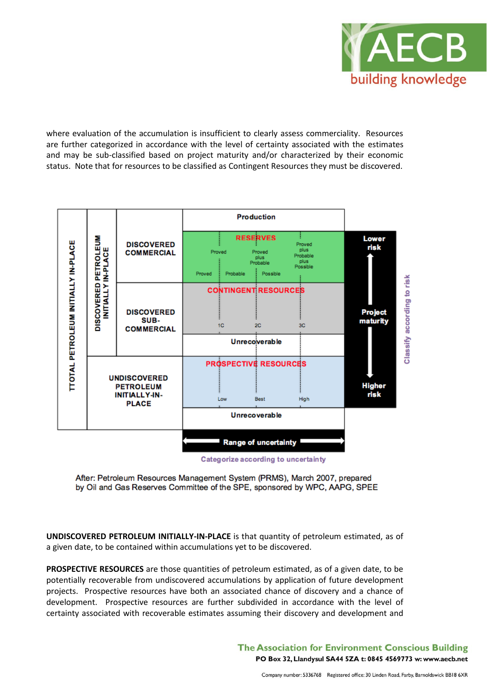

where evaluation of the accumulation is insufficient to clearly assess commerciality. Resources are further categorized in accordance with the level of certainty associated with the estimates and may be sub-classified based on project maturity and/or characterized by their economic status. Note that for resources to be classified as Contingent Resources they must be discovered.





After: Petroleum Resources Management System (PRMS), March 2007, prepared by Oil and Gas Reserves Committee of the SPE, sponsored by WPC, AAPG, SPEE

**UNDISCOVERED PETROLEUM INITIALLY-IN-PLACE** is that quantity of petroleum estimated, as of a given date, to be contained within accumulations yet to be discovered.

**PROSPECTIVE RESOURCES** are those quantities of petroleum estimated, as of a given date, to be potentially recoverable from undiscovered accumulations by application of future development projects. Prospective resources have both an associated chance of discovery and a chance of development. Prospective resources are further subdivided in accordance with the level of certainty associated with recoverable estimates assuming their discovery and development and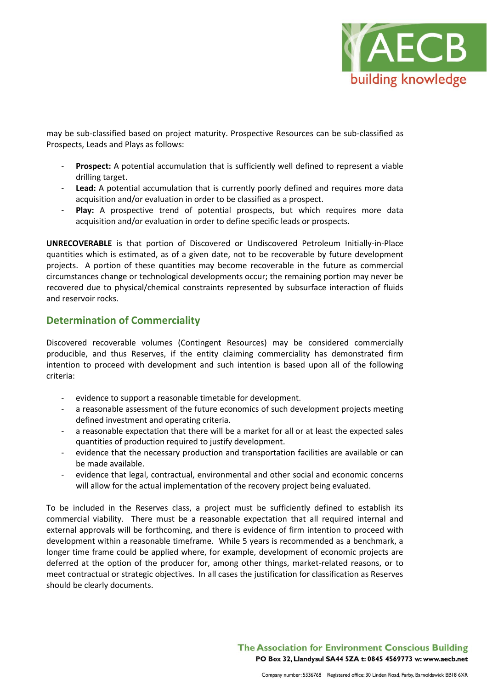

may be sub-classified based on project maturity. Prospective Resources can be sub-classified as Prospects, Leads and Plays as follows:

- Prospect: A potential accumulation that is sufficiently well defined to represent a viable drilling target.
- Lead: A potential accumulation that is currently poorly defined and requires more data acquisition and/or evaluation in order to be classified as a prospect.
- Play: A prospective trend of potential prospects, but which requires more data acquisition and/or evaluation in order to define specific leads or prospects.

**UNRECOVERABLE** is that portion of Discovered or Undiscovered Petroleum Initially-in-Place quantities which is estimated, as of a given date, not to be recoverable by future development projects. A portion of these quantities may become recoverable in the future as commercial circumstances change or technological developments occur; the remaining portion may never be recovered due to physical/chemical constraints represented by subsurface interaction of fluids and reservoir rocks.

## **Determination of Commerciality**

Discovered recoverable volumes (Contingent Resources) may be considered commercially producible, and thus Reserves, if the entity claiming commerciality has demonstrated firm intention to proceed with development and such intention is based upon all of the following criteria:

- evidence to support a reasonable timetable for development.
- a reasonable assessment of the future economics of such development projects meeting defined investment and operating criteria.
- a reasonable expectation that there will be a market for all or at least the expected sales quantities of production required to justify development.
- evidence that the necessary production and transportation facilities are available or can be made available.
- evidence that legal, contractual, environmental and other social and economic concerns will allow for the actual implementation of the recovery project being evaluated.

To be included in the Reserves class, a project must be sufficiently defined to establish its commercial viability. There must be a reasonable expectation that all required internal and external approvals will be forthcoming, and there is evidence of firm intention to proceed with development within a reasonable timeframe. While 5 years is recommended as a benchmark, a longer time frame could be applied where, for example, development of economic projects are deferred at the option of the producer for, among other things, market-related reasons, or to meet contractual or strategic objectives. In all cases the justification for classification as Reserves should be clearly documents.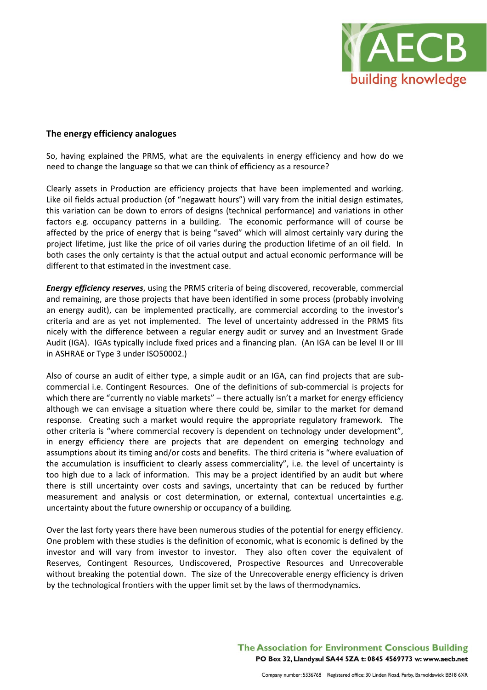

## **The energy efficiency analogues**

So, having explained the PRMS, what are the equivalents in energy efficiency and how do we need to change the language so that we can think of efficiency as a resource?

Clearly assets in Production are efficiency projects that have been implemented and working. Like oil fields actual production (of "negawatt hours") will vary from the initial design estimates, this variation can be down to errors of designs (technical performance) and variations in other factors e.g. occupancy patterns in a building. The economic performance will of course be affected by the price of energy that is being "saved" which will almost certainly vary during the project lifetime, just like the price of oil varies during the production lifetime of an oil field. In both cases the only certainty is that the actual output and actual economic performance will be different to that estimated in the investment case.

*Energy efficiency reserves*, using the PRMS criteria of being discovered, recoverable, commercial and remaining, are those projects that have been identified in some process (probably involving an energy audit), can be implemented practically, are commercial according to the investor's criteria and are as yet not implemented. The level of uncertainty addressed in the PRMS fits nicely with the difference between a regular energy audit or survey and an Investment Grade Audit (IGA). IGAs typically include fixed prices and a financing plan. (An IGA can be level II or III in ASHRAE or Type 3 under ISO50002.)

Also of course an audit of either type, a simple audit or an IGA, can find projects that are subcommercial i.e. Contingent Resources. One of the definitions of sub-commercial is projects for which there are "currently no viable markets" – there actually isn't a market for energy efficiency although we can envisage a situation where there could be, similar to the market for demand response. Creating such a market would require the appropriate regulatory framework. The other criteria is "where commercial recovery is dependent on technology under development", in energy efficiency there are projects that are dependent on emerging technology and assumptions about its timing and/or costs and benefits. The third criteria is "where evaluation of the accumulation is insufficient to clearly assess commerciality", i.e. the level of uncertainty is too high due to a lack of information. This may be a project identified by an audit but where there is still uncertainty over costs and savings, uncertainty that can be reduced by further measurement and analysis or cost determination, or external, contextual uncertainties e.g. uncertainty about the future ownership or occupancy of a building.

Over the last forty years there have been numerous studies of the potential for energy efficiency. One problem with these studies is the definition of economic, what is economic is defined by the investor and will vary from investor to investor. They also often cover the equivalent of Reserves, Contingent Resources, Undiscovered, Prospective Resources and Unrecoverable without breaking the potential down. The size of the Unrecoverable energy efficiency is driven by the technological frontiers with the upper limit set by the laws of thermodynamics.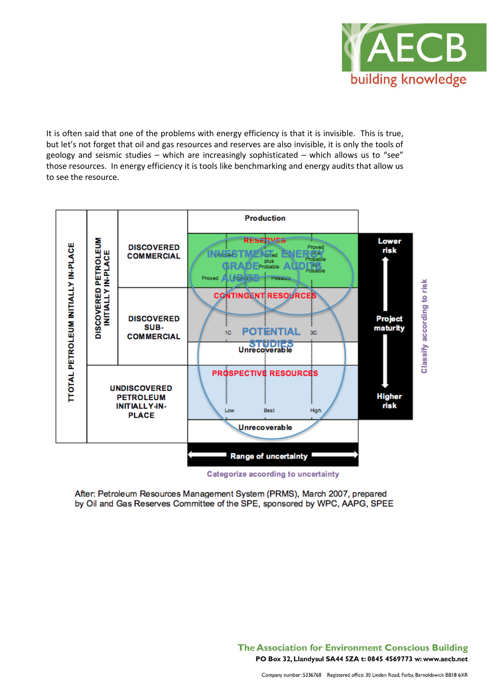

It is often said that one of the problems with energy efficiency is that it is invisible. This is true, but let's not forget that oil and gas resources and reserves are also invisible, it is only the tools of geology and seismic studies – which are increasingly sophisticated – which allows us to "see" those resources. In energy efficiency it is tools like benchmarking and energy audits that allow us to see the resource.



**Categorize according to uncertainty** 

After: Petroleum Resources Management System (PRMS), March 2007, prepared by Oil and Gas Reserves Committee of the SPE, sponsored by WPC, AAPG, SPEE

> **The Association for Environment Conscious Building** PO Box 32, Llandysul SA44 5ZA t: 0845 4569773 w: www.aecb.net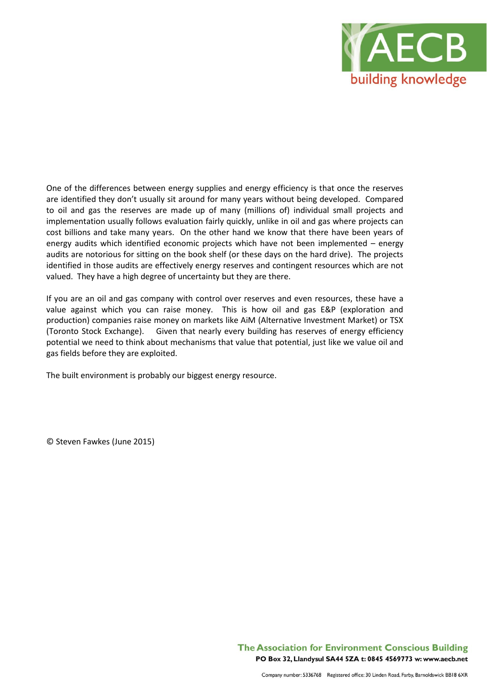

One of the differences between energy supplies and energy efficiency is that once the reserves are identified they don't usually sit around for many years without being developed. Compared to oil and gas the reserves are made up of many (millions of) individual small projects and implementation usually follows evaluation fairly quickly, unlike in oil and gas where projects can cost billions and take many years. On the other hand we know that there have been years of energy audits which identified economic projects which have not been implemented – energy audits are notorious for sitting on the book shelf (or these days on the hard drive). The projects identified in those audits are effectively energy reserves and contingent resources which are not valued. They have a high degree of uncertainty but they are there.

If you are an oil and gas company with control over reserves and even resources, these have a value against which you can raise money. This is how oil and gas E&P (exploration and production) companies raise money on markets like AiM (Alternative Investment Market) or TSX (Toronto Stock Exchange). Given that nearly every building has reserves of energy efficiency potential we need to think about mechanisms that value that potential, just like we value oil and gas fields before they are exploited.

The built environment is probably our biggest energy resource.

© Steven Fawkes (June 2015)